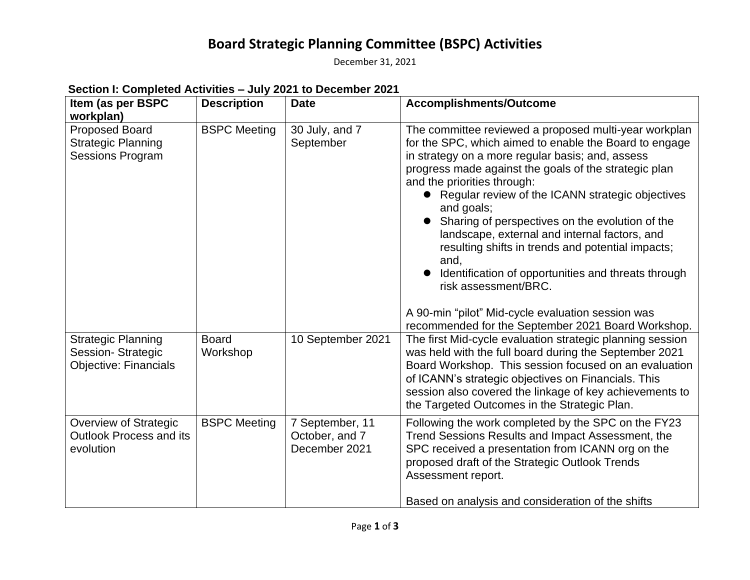## **Board Strategic Planning Committee (BSPC) Activities**

December 31, 2021

#### **Section I: Completed Activities – July 2021 to December 2021**

| Item (as per BSPC                                                                          | <b>Description</b>  | <b>Date</b>                                        | Accomplishments/Outcome                                                                                                                                                                                                                                                                                                                                                                                                                                                                                                                                                       |  |
|--------------------------------------------------------------------------------------------|---------------------|----------------------------------------------------|-------------------------------------------------------------------------------------------------------------------------------------------------------------------------------------------------------------------------------------------------------------------------------------------------------------------------------------------------------------------------------------------------------------------------------------------------------------------------------------------------------------------------------------------------------------------------------|--|
| workplan)<br><b>Proposed Board</b><br><b>Strategic Planning</b><br><b>Sessions Program</b> | <b>BSPC Meeting</b> | 30 July, and 7<br>September                        | The committee reviewed a proposed multi-year workplan<br>for the SPC, which aimed to enable the Board to engage<br>in strategy on a more regular basis; and, assess<br>progress made against the goals of the strategic plan<br>and the priorities through:<br>Regular review of the ICANN strategic objectives<br>and goals;<br>Sharing of perspectives on the evolution of the<br>landscape, external and internal factors, and<br>resulting shifts in trends and potential impacts;<br>and,<br>Identification of opportunities and threats through<br>risk assessment/BRC. |  |
| <b>Strategic Planning</b>                                                                  | <b>Board</b>        | 10 September 2021                                  | A 90-min "pilot" Mid-cycle evaluation session was<br>recommended for the September 2021 Board Workshop.<br>The first Mid-cycle evaluation strategic planning session                                                                                                                                                                                                                                                                                                                                                                                                          |  |
| <b>Session-Strategic</b><br><b>Objective: Financials</b>                                   | Workshop            |                                                    | was held with the full board during the September 2021<br>Board Workshop. This session focused on an evaluation<br>of ICANN's strategic objectives on Financials. This<br>session also covered the linkage of key achievements to<br>the Targeted Outcomes in the Strategic Plan.                                                                                                                                                                                                                                                                                             |  |
| Overview of Strategic<br><b>Outlook Process and its</b><br>evolution                       | <b>BSPC Meeting</b> | 7 September, 11<br>October, and 7<br>December 2021 | Following the work completed by the SPC on the FY23<br>Trend Sessions Results and Impact Assessment, the<br>SPC received a presentation from ICANN org on the<br>proposed draft of the Strategic Outlook Trends<br>Assessment report.                                                                                                                                                                                                                                                                                                                                         |  |
|                                                                                            |                     |                                                    | Based on analysis and consideration of the shifts                                                                                                                                                                                                                                                                                                                                                                                                                                                                                                                             |  |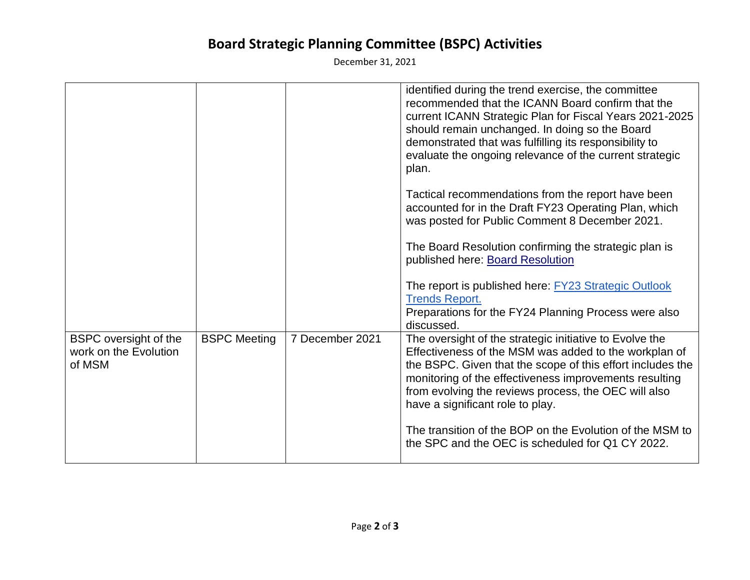# **Board Strategic Planning Committee (BSPC) Activities**

December 31, 2021

|                                                          |                     |                 | identified during the trend exercise, the committee<br>recommended that the ICANN Board confirm that the<br>current ICANN Strategic Plan for Fiscal Years 2021-2025<br>should remain unchanged. In doing so the Board<br>demonstrated that was fulfilling its responsibility to<br>evaluate the ongoing relevance of the current strategic<br>plan. |
|----------------------------------------------------------|---------------------|-----------------|-----------------------------------------------------------------------------------------------------------------------------------------------------------------------------------------------------------------------------------------------------------------------------------------------------------------------------------------------------|
|                                                          |                     |                 | Tactical recommendations from the report have been<br>accounted for in the Draft FY23 Operating Plan, which<br>was posted for Public Comment 8 December 2021.                                                                                                                                                                                       |
|                                                          |                     |                 | The Board Resolution confirming the strategic plan is<br>published here: Board Resolution                                                                                                                                                                                                                                                           |
|                                                          |                     |                 | The report is published here: <b>FY23 Strategic Outlook</b><br><b>Trends Report.</b><br>Preparations for the FY24 Planning Process were also                                                                                                                                                                                                        |
|                                                          |                     |                 | discussed.                                                                                                                                                                                                                                                                                                                                          |
| BSPC oversight of the<br>work on the Evolution<br>of MSM | <b>BSPC Meeting</b> | 7 December 2021 | The oversight of the strategic initiative to Evolve the<br>Effectiveness of the MSM was added to the workplan of<br>the BSPC. Given that the scope of this effort includes the<br>monitoring of the effectiveness improvements resulting<br>from evolving the reviews process, the OEC will also<br>have a significant role to play.                |
|                                                          |                     |                 | The transition of the BOP on the Evolution of the MSM to<br>the SPC and the OEC is scheduled for Q1 CY 2022.                                                                                                                                                                                                                                        |